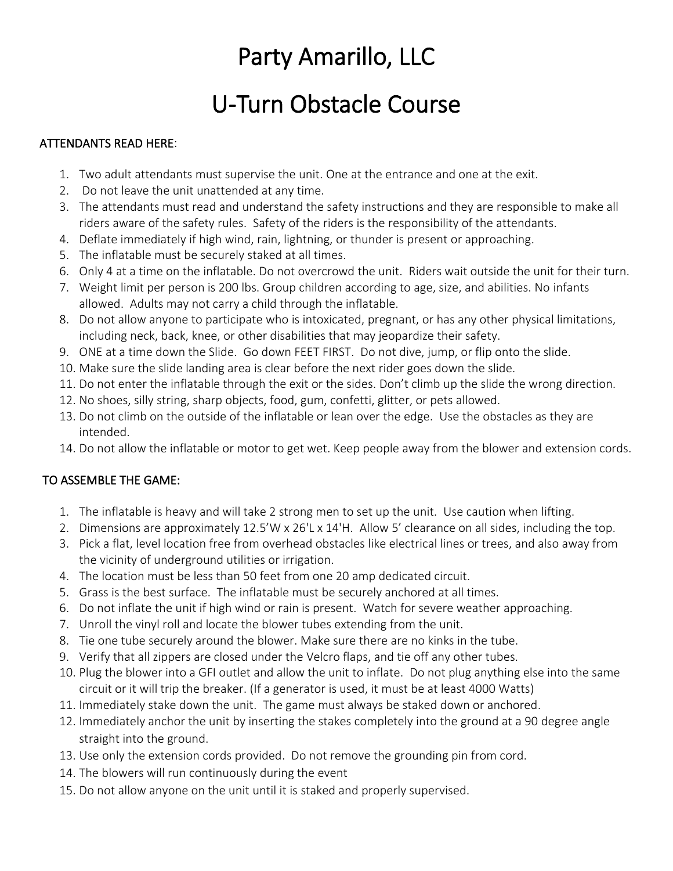# Party Amarillo, LLC

## U-Turn Obstacle Course

### ATTENDANTS READ HERE:

- 1. Two adult attendants must supervise the unit. One at the entrance and one at the exit.
- 2. Do not leave the unit unattended at any time.
- 3. The attendants must read and understand the safety instructions and they are responsible to make all riders aware of the safety rules. Safety of the riders is the responsibility of the attendants.
- 4. Deflate immediately if high wind, rain, lightning, or thunder is present or approaching.
- 5. The inflatable must be securely staked at all times.
- 6. Only 4 at a time on the inflatable. Do not overcrowd the unit. Riders wait outside the unit for their turn.
- 7. Weight limit per person is 200 lbs. Group children according to age, size, and abilities. No infants allowed. Adults may not carry a child through the inflatable.
- 8. Do not allow anyone to participate who is intoxicated, pregnant, or has any other physical limitations, including neck, back, knee, or other disabilities that may jeopardize their safety.
- 9. ONE at a time down the Slide. Go down FEET FIRST. Do not dive, jump, or flip onto the slide.
- 10. Make sure the slide landing area is clear before the next rider goes down the slide.
- 11. Do not enter the inflatable through the exit or the sides. Don't climb up the slide the wrong direction.
- 12. No shoes, silly string, sharp objects, food, gum, confetti, glitter, or pets allowed.
- 13. Do not climb on the outside of the inflatable or lean over the edge. Use the obstacles as they are intended.
- 14. Do not allow the inflatable or motor to get wet. Keep people away from the blower and extension cords.

#### TO ASSEMBLE THE GAME:

- 1. The inflatable is heavy and will take 2 strong men to set up the unit. Use caution when lifting.
- 2. Dimensions are approximately 12.5'W x 26'L x 14'H. Allow 5' clearance on all sides, including the top.
- 3. Pick a flat, level location free from overhead obstacles like electrical lines or trees, and also away from the vicinity of underground utilities or irrigation.
- 4. The location must be less than 50 feet from one 20 amp dedicated circuit.
- 5. Grass is the best surface. The inflatable must be securely anchored at all times.
- 6. Do not inflate the unit if high wind or rain is present. Watch for severe weather approaching.
- 7. Unroll the vinyl roll and locate the blower tubes extending from the unit.
- 8. Tie one tube securely around the blower. Make sure there are no kinks in the tube.
- 9. Verify that all zippers are closed under the Velcro flaps, and tie off any other tubes.
- 10. Plug the blower into a GFI outlet and allow the unit to inflate. Do not plug anything else into the same circuit or it will trip the breaker. (If a generator is used, it must be at least 4000 Watts)
- 11. Immediately stake down the unit. The game must always be staked down or anchored.
- 12. Immediately anchor the unit by inserting the stakes completely into the ground at a 90 degree angle straight into the ground.
- 13. Use only the extension cords provided. Do not remove the grounding pin from cord.
- 14. The blowers will run continuously during the event
- 15. Do not allow anyone on the unit until it is staked and properly supervised.